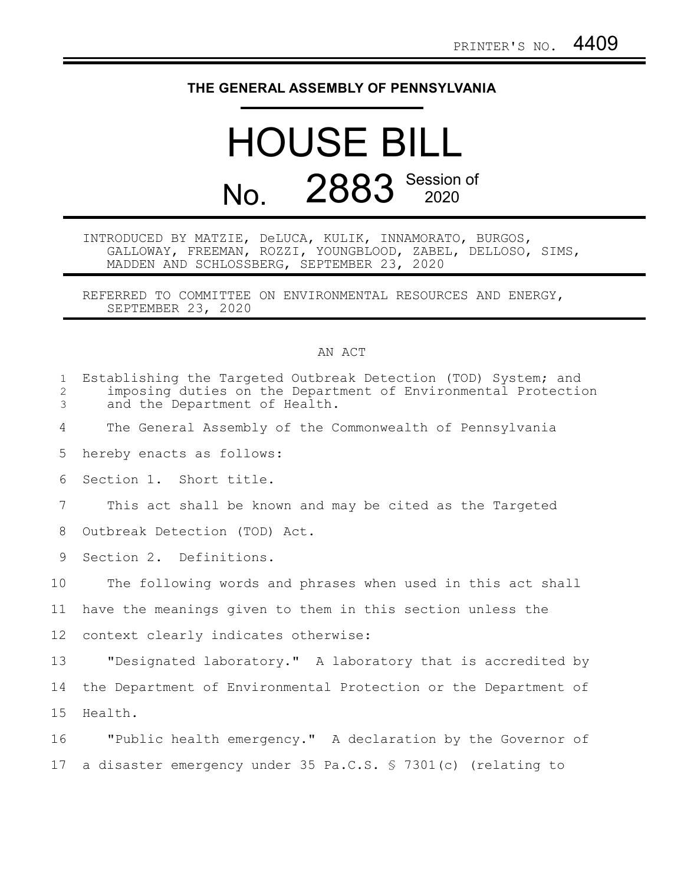## **THE GENERAL ASSEMBLY OF PENNSYLVANIA**

## HOUSE BILL No. 2883 Session of

INTRODUCED BY MATZIE, DeLUCA, KULIK, INNAMORATO, BURGOS, GALLOWAY, FREEMAN, ROZZI, YOUNGBLOOD, ZABEL, DELLOSO, SIMS, MADDEN AND SCHLOSSBERG, SEPTEMBER 23, 2020

REFERRED TO COMMITTEE ON ENVIRONMENTAL RESOURCES AND ENERGY, SEPTEMBER 23, 2020

## AN ACT

| $\mathbf 1$<br>$\mathbf{2}$<br>3 | Establishing the Targeted Outbreak Detection (TOD) System; and<br>imposing duties on the Department of Environmental Protection<br>and the Department of Health. |
|----------------------------------|------------------------------------------------------------------------------------------------------------------------------------------------------------------|
| 4                                | The General Assembly of the Commonwealth of Pennsylvania                                                                                                         |
| 5                                | hereby enacts as follows:                                                                                                                                        |
| 6                                | Section 1. Short title.                                                                                                                                          |
| 7                                | This act shall be known and may be cited as the Targeted                                                                                                         |
| 8                                | Outbreak Detection (TOD) Act.                                                                                                                                    |
| 9                                | Section 2. Definitions.                                                                                                                                          |
| 10                               | The following words and phrases when used in this act shall                                                                                                      |
| 11                               | have the meanings given to them in this section unless the                                                                                                       |
| 12 <sup>°</sup>                  | context clearly indicates otherwise:                                                                                                                             |
| 13                               | "Designated laboratory." A laboratory that is accredited by                                                                                                      |
| 14                               | the Department of Environmental Protection or the Department of                                                                                                  |
| 15                               | Health.                                                                                                                                                          |
| 16                               | "Public health emergency." A declaration by the Governor of                                                                                                      |
| 17                               | a disaster emergency under 35 Pa.C.S. § 7301(c) (relating to                                                                                                     |
|                                  |                                                                                                                                                                  |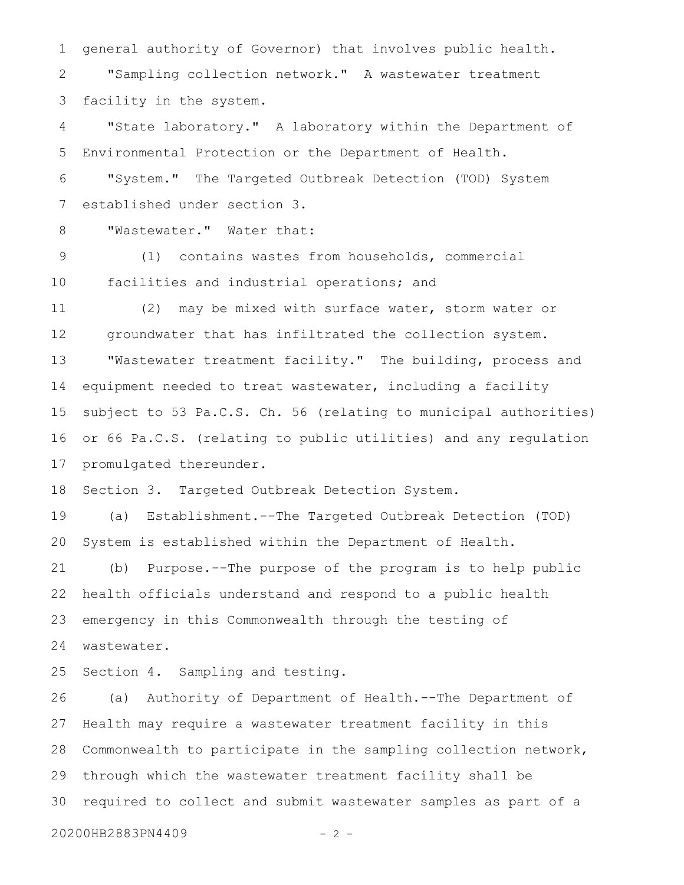general authority of Governor) that involves public health. "Sampling collection network." A wastewater treatment facility in the system. "State laboratory." A laboratory within the Department of Environmental Protection or the Department of Health. 1 2 3 4 5

"System." The Targeted Outbreak Detection (TOD) System established under section 3. 6 7

"Wastewater." Water that: 8

(1) contains wastes from households, commercial facilities and industrial operations; and 9 10

(2) may be mixed with surface water, storm water or groundwater that has infiltrated the collection system. "Wastewater treatment facility." The building, process and equipment needed to treat wastewater, including a facility subject to 53 Pa.C.S. Ch. 56 (relating to municipal authorities) or 66 Pa.C.S. (relating to public utilities) and any regulation promulgated thereunder. 11 12 13 14 15 16 17

Section 3. Targeted Outbreak Detection System. 18

(a) Establishment.--The Targeted Outbreak Detection (TOD) System is established within the Department of Health. 19 20

(b) Purpose.--The purpose of the program is to help public health officials understand and respond to a public health emergency in this Commonwealth through the testing of wastewater. 21 22 23 24

Section 4. Sampling and testing. 25

(a) Authority of Department of Health.--The Department of Health may require a wastewater treatment facility in this Commonwealth to participate in the sampling collection network, through which the wastewater treatment facility shall be required to collect and submit wastewater samples as part of a 26 27 28 29 30

20200HB2883PN4409 - 2 -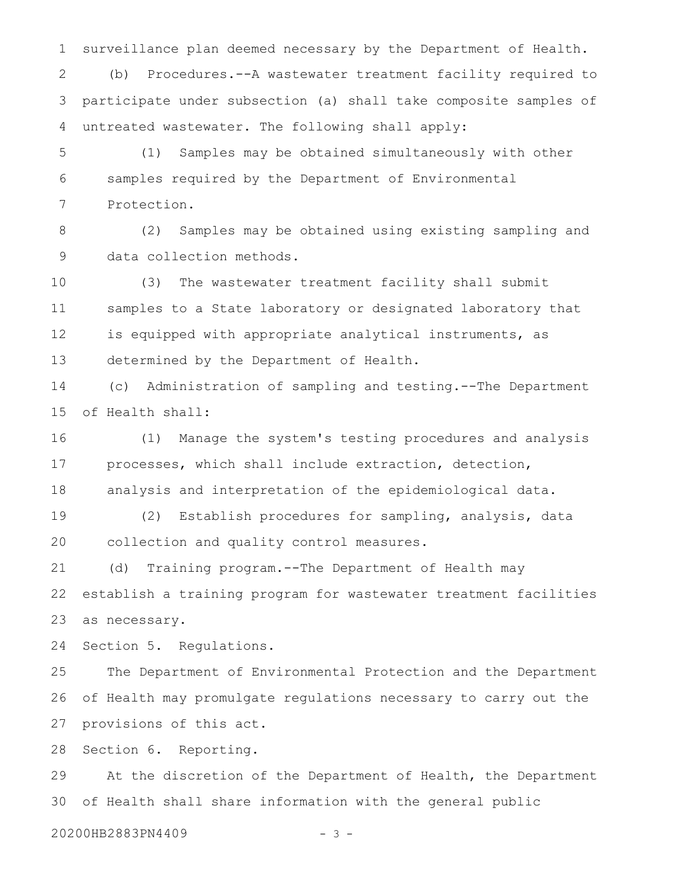surveillance plan deemed necessary by the Department of Health. (b) Procedures.--A wastewater treatment facility required to participate under subsection (a) shall take composite samples of untreated wastewater. The following shall apply: 1 2 3 4

(1) Samples may be obtained simultaneously with other samples required by the Department of Environmental Protection. 5 6 7

(2) Samples may be obtained using existing sampling and data collection methods. 8 9

(3) The wastewater treatment facility shall submit samples to a State laboratory or designated laboratory that is equipped with appropriate analytical instruments, as determined by the Department of Health. 10 11 12 13

(c) Administration of sampling and testing.--The Department of Health shall: 14 15

(1) Manage the system's testing procedures and analysis processes, which shall include extraction, detection, analysis and interpretation of the epidemiological data. 16 17 18

(2) Establish procedures for sampling, analysis, data collection and quality control measures. 19 20

(d) Training program.--The Department of Health may establish a training program for wastewater treatment facilities as necessary. 21 22 23

Section 5. Regulations. 24

The Department of Environmental Protection and the Department of Health may promulgate regulations necessary to carry out the provisions of this act. 25 26 27

Section 6. Reporting. 28

At the discretion of the Department of Health, the Department of Health shall share information with the general public 29 30

20200HB2883PN4409 - 3 -